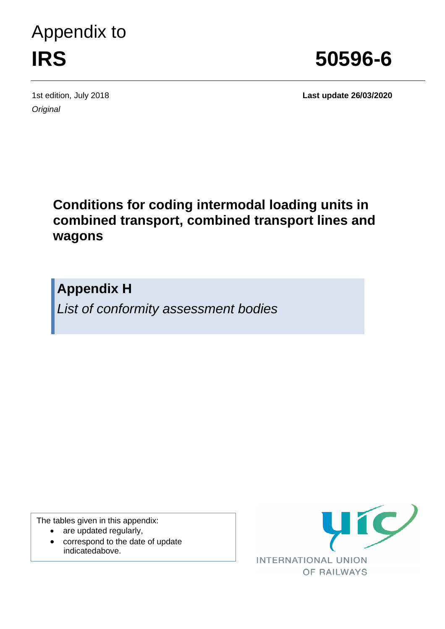# Appendix to **IRS 50596-6**

*Original*

1st edition, July 2018 **Last update 26/03/2020**

### **Conditions for coding intermodal loading units in combined transport, combined transport lines and wagons**

**Appendix H**

*List of conformity assessment bodies*

The tables given in this appendix:

- are updated regularly,
- correspond to the date of update indicatedabove.

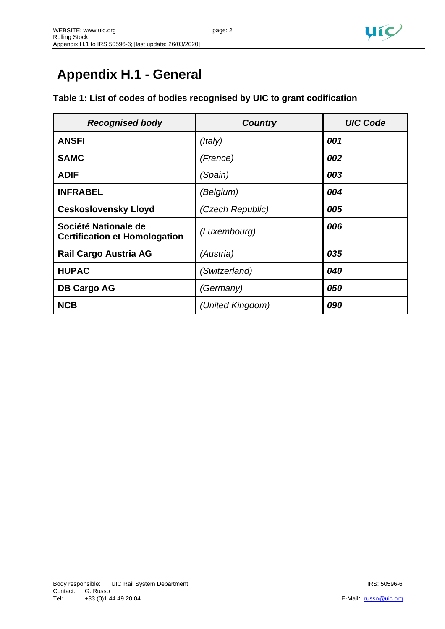

## **Appendix H.1 - General**

#### **Table 1: List of codes of bodies recognised by UIC to grant codification**

| <b>Recognised body</b>                                       | <b>Country</b>   | <b>UIC Code</b> |
|--------------------------------------------------------------|------------------|-----------------|
| <b>ANSFI</b>                                                 | (ltaly)          | 001             |
| <b>SAMC</b>                                                  | (France)         | 002             |
| <b>ADIF</b>                                                  | (Spain)          | 003             |
| <b>INFRABEL</b>                                              | (Belgium)        | 004             |
| <b>Ceskoslovensky Lloyd</b>                                  | (Czech Republic) | 005             |
| Société Nationale de<br><b>Certification et Homologation</b> | (Luxembourg)     | 006             |
| Rail Cargo Austria AG                                        | (Austria)        | 035             |
| <b>HUPAC</b>                                                 | (Switzerland)    | 040             |
| <b>DB Cargo AG</b>                                           | (Germany)        | 050             |
| <b>NCB</b>                                                   | (United Kingdom) | 090             |